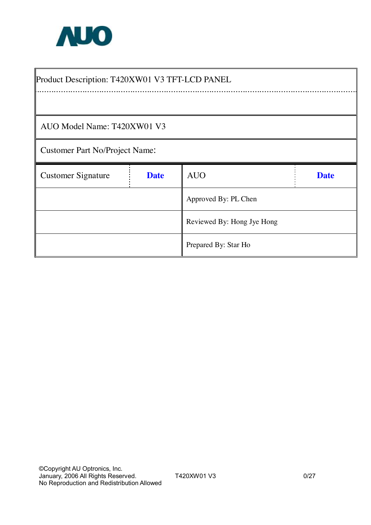

 $\blacksquare$ 

| Product Description: T420XW01 V3 TFT-LCD PANEL |             |                            |             |  |  |  |
|------------------------------------------------|-------------|----------------------------|-------------|--|--|--|
|                                                |             |                            |             |  |  |  |
| AUO Model Name: T420XW01 V3                    |             |                            |             |  |  |  |
| <b>Customer Part No/Project Name:</b>          |             |                            |             |  |  |  |
| <b>Customer Signature</b>                      | <b>Date</b> | <b>AUO</b>                 | <b>Date</b> |  |  |  |
|                                                |             | Approved By: PL Chen       |             |  |  |  |
|                                                |             | Reviewed By: Hong Jye Hong |             |  |  |  |
|                                                |             | Prepared By: Star Ho       |             |  |  |  |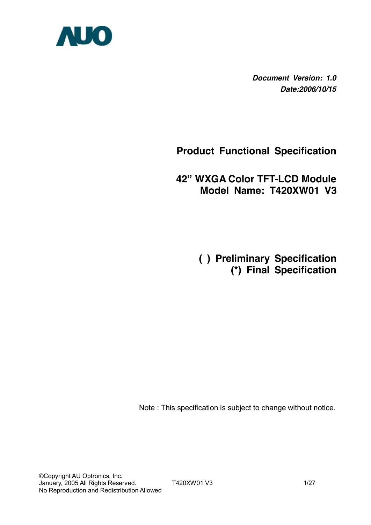

*Document Version: 1.0 Date:2006/10/15*

## **Product Functional Specification**

## **42" WXGA Color TFT-LCD Module Model Name: T420XW01 V3**

 **( ) Preliminary Specification (\*) Final Specification** 

Note : This specification is subject to change without notice.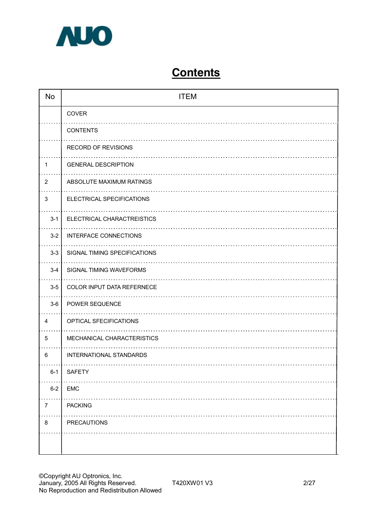

# **Contents**

| <b>No</b>      | <b>ITEM</b>                    |
|----------------|--------------------------------|
|                | COVER                          |
|                | <b>CONTENTS</b>                |
|                | RECORD OF REVISIONS            |
| 1              | <b>GENERAL DESCRIPTION</b>     |
| $\overline{2}$ | ABSOLUTE MAXIMUM RATINGS       |
| 3              | ELECTRICAL SPECIFICATIONS      |
| $3 - 1$        | ELECTRICAL CHARACTREISTICS     |
| $3 - 2$        | INTERFACE CONNECTIONS          |
| $3-3$          | SIGNAL TIMING SPECIFICATIONS   |
| $3 - 4$        | SIGNAL TIMING WAVEFORMS        |
| $3-5$          | COLOR INPUT DATA REFERNECE     |
| $3-6$          | POWER SEQUENCE                 |
| 4              | OPTICAL SFECIFICATIONS         |
| $\overline{5}$ | MECHANICAL CHARACTERISTICS     |
|                |                                |
| 6              | <b>INTERNATIONAL STANDARDS</b> |
| $6 - 1$        | <b>SAFETY</b>                  |
| $6 - 2$        | <b>EMC</b>                     |
| $\overline{7}$ | <b>PACKING</b>                 |
| 8              | <b>PRECAUTIONS</b>             |
|                |                                |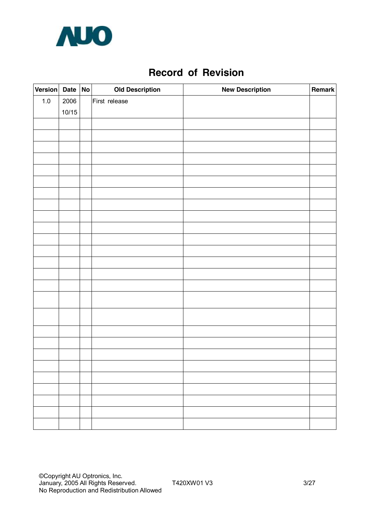

## **Record of Revision**

| Version Date No |       | <b>Old Description</b> | <b>New Description</b> | Remark |
|-----------------|-------|------------------------|------------------------|--------|
| $1.0\,$         | 2006  | First release          |                        |        |
|                 | 10/15 |                        |                        |        |
|                 |       |                        |                        |        |
|                 |       |                        |                        |        |
|                 |       |                        |                        |        |
|                 |       |                        |                        |        |
|                 |       |                        |                        |        |
|                 |       |                        |                        |        |
|                 |       |                        |                        |        |
|                 |       |                        |                        |        |
|                 |       |                        |                        |        |
|                 |       |                        |                        |        |
|                 |       |                        |                        |        |
|                 |       |                        |                        |        |
|                 |       |                        |                        |        |
|                 |       |                        |                        |        |
|                 |       |                        |                        |        |
|                 |       |                        |                        |        |
|                 |       |                        |                        |        |
|                 |       |                        |                        |        |
|                 |       |                        |                        |        |
|                 |       |                        |                        |        |
|                 |       |                        |                        |        |
|                 |       |                        |                        |        |
|                 |       |                        |                        |        |
|                 |       |                        |                        |        |
|                 |       |                        |                        |        |
|                 |       |                        |                        |        |
|                 |       |                        |                        |        |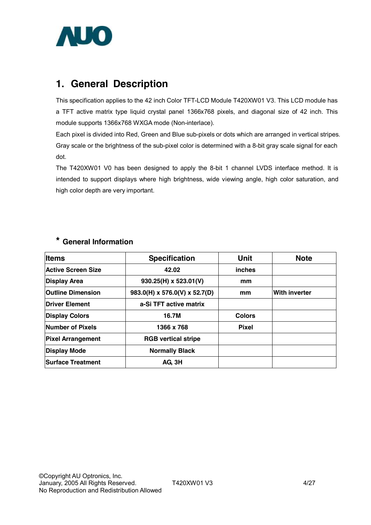

## **1. General Description**

This specification applies to the 42 inch Color TFT-LCD Module T420XW01 V3. This LCD module has a TFT active matrix type liquid crystal panel 1366x768 pixels, and diagonal size of 42 inch. This module supports 1366x768 WXGA mode (Non-interlace).

Each pixel is divided into Red, Green and Blue sub-pixels or dots which are arranged in vertical stripes. Gray scale or the brightness of the sub-pixel color is determined with a 8-bit gray scale signal for each dot.

The T420XW01 V0 has been designed to apply the 8-bit 1 channel LVDS interface method. It is intended to support displays where high brightness, wide viewing angle, high color saturation, and high color depth are very important.

## **\* General Information**

| <b>Items</b>              | <b>Specification</b>                      | <b>Unit</b>   | <b>Note</b>          |
|---------------------------|-------------------------------------------|---------------|----------------------|
| <b>Active Screen Size</b> | 42.02                                     | inches        |                      |
| <b>Display Area</b>       | $930.25(H) \times 523.01(V)$              | mm            |                      |
| <b>Outline Dimension</b>  | $983.0(H) \times 576.0(V) \times 52.7(D)$ | mm            | <b>With inverter</b> |
| <b>Driver Element</b>     | a-Si TFT active matrix                    |               |                      |
| <b>Display Colors</b>     | 16.7M                                     | <b>Colors</b> |                      |
| Number of Pixels          | 1366 x 768                                | <b>Pixel</b>  |                      |
| <b>Pixel Arrangement</b>  | <b>RGB vertical stripe</b>                |               |                      |
| <b>Display Mode</b>       | <b>Normally Black</b>                     |               |                      |
| <b>Surface Treatment</b>  | AG, 3H                                    |               |                      |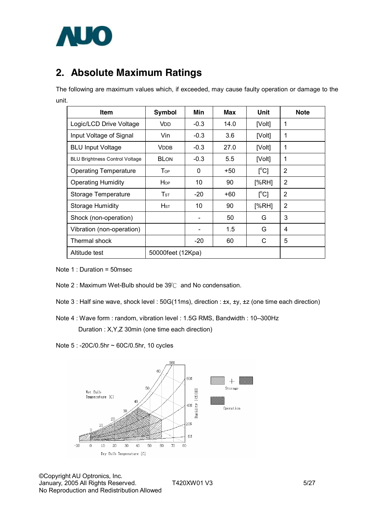

## **2. Absolute Maximum Ratings**

The following are maximum values which, if exceeded, may cause faulty operation or damage to the unit.

| Item                                  | <b>Symbol</b>            | Min                      | <b>Max</b> | Unit                | <b>Note</b>    |
|---------------------------------------|--------------------------|--------------------------|------------|---------------------|----------------|
| Logic/LCD Drive Voltage               | <b>V</b> <sub>D</sub>    | $-0.3$                   | 14.0       | [Volt]              | 1              |
| Input Voltage of Signal               | Vin                      | $-0.3$                   | 3.6        | [Volt]              | 1              |
| <b>BLU Input Voltage</b>              | <b>V</b> DDB             | $-0.3$                   | 27.0       | [Volt]              | 1              |
| <b>BLU Brightness Control Voltage</b> | <b>BLON</b>              | $-0.3$                   | 5.5        | [Volt]              | 1              |
| <b>Operating Temperature</b>          | <b>T</b> <sub>OP</sub>   | 0                        | +50        | $\Gamma^{\circ}$ Cl | $\overline{2}$ |
| <b>Operating Humidity</b>             | Hop                      | 10                       | 90         | [%RH]               | 2              |
| Storage Temperature                   | $\mathsf{T}_{\text{ST}}$ | $-20$                    | +60        | [°C]                | $\overline{2}$ |
| <b>Storage Humidity</b>               | Hsт                      | 10                       | 90         | [%RH]               | 2              |
| Shock (non-operation)                 |                          |                          | 50         | G                   | 3              |
| Vibration (non-operation)             |                          | $\overline{\phantom{a}}$ | 1.5        | G                   | 4              |
| Thermal shock                         |                          | -20                      | 60         | С                   | 5              |
| Altitude test                         | 50000feet (12Kpa)        |                          |            |                     |                |

Note 1 : Duration = 50msec

- Note 2 : Maximum Wet-Bulb should be 39℃ and No condensation.
- Note 3 : Half sine wave, shock level : 50G(11ms), direction : ±x, ±y, ±z (one time each direction)

Note 4 : Wave form : random, vibration level : 1.5G RMS, Bandwidth : 10--300Hz Duration : X,Y,Z 30min (one time each direction)

Note 5 : -20C/0.5hr ~ 60C/0.5hr, 10 cycles



©Copyright AU Optronics, Inc. January, 2005 All Rights Reserved. T420XW01 V3 5/27 No Reproduction and Redistribution Allowed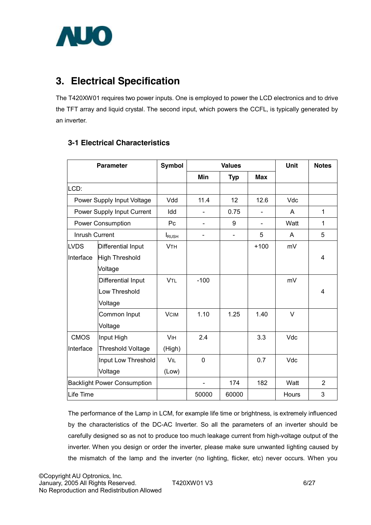

## **3. Electrical Specification**

The T420XW01 requires two power inputs. One is employed to power the LCD electronics and to drive the TFT array and liquid crystal. The second input, which powers the CCFL, is typically generated by an inverter.

| <b>3-1 Electrical Characteristics</b> |
|---------------------------------------|
|---------------------------------------|

| <b>Parameter</b> |                                    | <b>Symbol</b>            |          | <b>Values</b> |                | Unit  | <b>Notes</b>   |
|------------------|------------------------------------|--------------------------|----------|---------------|----------------|-------|----------------|
|                  |                                    |                          | Min      | <b>Typ</b>    | <b>Max</b>     |       |                |
| LCD:             |                                    |                          |          |               |                |       |                |
|                  | Power Supply Input Voltage         | Vdd                      | 11.4     | 12            | 12.6           | Vdc   |                |
|                  | Power Supply Input Current         | Idd                      |          | 0.75          |                | A     | 1              |
|                  | <b>Power Consumption</b>           | Pc                       |          | 9             | $\blacksquare$ | Watt  | 1              |
| Inrush Current   |                                    | <b>I</b> <sub>RUSH</sub> |          |               | 5              | A     | 5              |
| <b>LVDS</b>      | Differential Input                 | <b>VTH</b>               |          |               | $+100$         | mV    |                |
| Interface        | <b>High Threshold</b>              |                          |          |               |                |       | 4              |
|                  | Voltage                            |                          |          |               |                |       |                |
|                  | Differential Input                 | <b>VTL</b>               | $-100$   |               |                | mV    |                |
|                  | Low Threshold                      |                          |          |               |                |       | 4              |
|                  | Voltage                            |                          |          |               |                |       |                |
|                  | Common Input                       | <b>VCIM</b>              | 1.10     | 1.25          | 1.40           | V     |                |
|                  | Voltage                            |                          |          |               |                |       |                |
| <b>CMOS</b>      | Input High                         | <b>VIH</b>               | 2.4      |               | 3.3            | Vdc   |                |
| Interface        | <b>Threshold Voltage</b>           | (High)                   |          |               |                |       |                |
|                  | Input Low Threshold                | VIL                      | $\Omega$ |               | 0.7            | Vdc   |                |
|                  | Voltage                            | (Low)                    |          |               |                |       |                |
|                  | <b>Backlight Power Consumption</b> |                          |          | 174           | 182            | Watt  | $\overline{2}$ |
| Life Time        |                                    |                          | 50000    | 60000         |                | Hours | 3              |

The performance of the Lamp in LCM, for example life time or brightness, is extremely influenced by the characteristics of the DC-AC Inverter. So all the parameters of an inverter should be carefully designed so as not to produce too much leakage current from high-voltage output of the inverter. When you design or order the inverter, please make sure unwanted lighting caused by the mismatch of the lamp and the inverter (no lighting, flicker, etc) never occurs. When you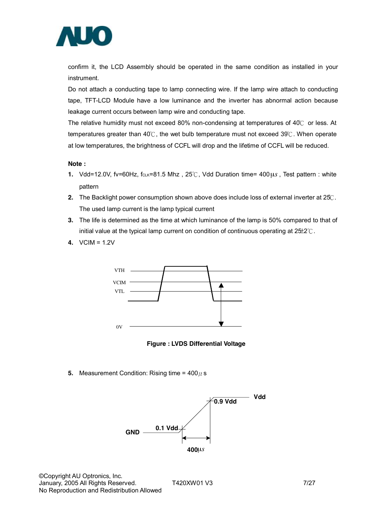

confirm it, the LCD Assembly should be operated in the same condition as installed in your instrument.

Do not attach a conducting tape to lamp connecting wire. If the lamp wire attach to conducting tape, TFT-LCD Module have a low luminance and the inverter has abnormal action because leakage current occurs between lamp wire and conducting tape.

The relative humidity must not exceed 80% non-condensing at temperatures of 40℃ or less. At temperatures greater than 40℃, the wet bulb temperature must not exceed 39℃. When operate at low temperatures, the brightness of CCFL will drop and the lifetime of CCFL will be reduced.

#### **Note :**

- **1.** Vdd=12.0V, fv=60Hz, fcLK=81.5 Mhz, 25℃, Vdd Duration time= 400µ*s*, Test pattern : white pattern
- **2.** The Backlight power consumption shown above does include loss of external inverter at 25℃. The used lamp current is the lamp typical current
- **3.** The life is determined as the time at which luminance of the lamp is 50% compared to that of initial value at the typical lamp current on condition of continuous operating at 25±2℃.
- **4.** VCIM = 1.2V



**Figure : LVDS Differential Voltage** 

**5.** Measurement Condition: Rising time =  $400 \mu$  s



©Copyright AU Optronics, Inc. January, 2005 All Rights Reserved. T420XW01 V3 7/27 No Reproduction and Redistribution Allowed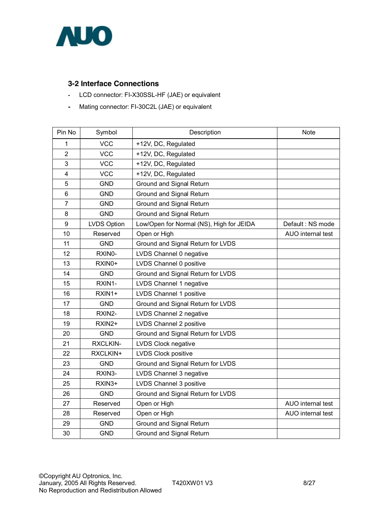

### **3-2 Interface Connections**

- **-** LCD connector: FI-X30SSL-HF (JAE) or equivalent
- **-** Mating connector: FI-30C2L (JAE) or equivalent

| Pin No                  | Symbol             | Description                              | <b>Note</b>       |
|-------------------------|--------------------|------------------------------------------|-------------------|
| 1                       | <b>VCC</b>         | +12V, DC, Regulated                      |                   |
| $\overline{2}$          | <b>VCC</b>         | +12V, DC, Regulated                      |                   |
| 3                       | <b>VCC</b>         | +12V, DC, Regulated                      |                   |
| $\overline{\mathbf{4}}$ | <b>VCC</b>         | +12V, DC, Regulated                      |                   |
| 5                       | <b>GND</b>         | Ground and Signal Return                 |                   |
| 6                       | <b>GND</b>         | Ground and Signal Return                 |                   |
| $\overline{7}$          | <b>GND</b>         | Ground and Signal Return                 |                   |
| 8                       | <b>GND</b>         | Ground and Signal Return                 |                   |
| 9                       | <b>LVDS Option</b> | Low/Open for Normal (NS), High for JEIDA | Default: NS mode  |
| 10                      | Reserved           | Open or High                             | AUO internal test |
| 11                      | <b>GND</b>         | Ground and Signal Return for LVDS        |                   |
| 12                      | RXIN0-             | LVDS Channel 0 negative                  |                   |
| 13                      | RXIN0+             | LVDS Channel 0 positive                  |                   |
| 14                      | <b>GND</b>         | Ground and Signal Return for LVDS        |                   |
| 15                      | RXIN1-             | LVDS Channel 1 negative                  |                   |
| 16                      | RXIN1+             | LVDS Channel 1 positive                  |                   |
| 17                      | <b>GND</b>         | Ground and Signal Return for LVDS        |                   |
| 18                      | RXIN2-             | LVDS Channel 2 negative                  |                   |
| 19                      | RXIN2+             | LVDS Channel 2 positive                  |                   |
| 20                      | <b>GND</b>         | Ground and Signal Return for LVDS        |                   |
| 21                      | <b>RXCLKIN-</b>    | LVDS Clock negative                      |                   |
| 22                      | RXCLKIN+           | LVDS Clock positive                      |                   |
| 23                      | <b>GND</b>         | Ground and Signal Return for LVDS        |                   |
| 24                      | RXIN3-             | LVDS Channel 3 negative                  |                   |
| 25                      | RXIN3+             | LVDS Channel 3 positive                  |                   |
| 26                      | <b>GND</b>         | Ground and Signal Return for LVDS        |                   |
| 27                      | Reserved           | Open or High                             | AUO internal test |
| 28                      | Reserved           | Open or High                             | AUO internal test |
| 29                      | <b>GND</b>         | Ground and Signal Return                 |                   |
| 30                      | <b>GND</b>         | Ground and Signal Return                 |                   |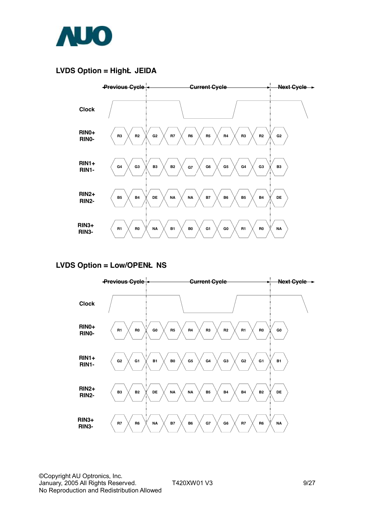

### **LVDS Option = HighË JEIDA**



#### **LVDS Option = Low/OPENË NS**



©Copyright AU Optronics, Inc. January, 2005 All Rights Reserved. T420XW01 V3 9/27 No Reproduction and Redistribution Allowed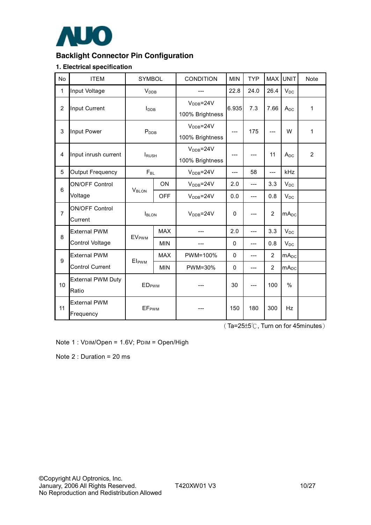

## **Backlight Connector Pin Configuration**

#### **1. Electrical specification**

| No             | <b>ITEM</b>                       | <b>SYMBOL</b>            |            | <b>CONDITION</b>             | <b>MIN</b> | <b>TYP</b> |                | MAX UNIT                | <b>Note</b>    |
|----------------|-----------------------------------|--------------------------|------------|------------------------------|------------|------------|----------------|-------------------------|----------------|
| $\mathbf{1}$   | Input Voltage                     | <b>V</b> <sub>DDB</sub>  |            |                              | 22.8       | 24.0       | 26.4           | $V_{DC}$                |                |
| $\overline{2}$ | Input Current                     | I <sub>DB</sub>          |            | $VDB=24V$<br>100% Brightness | 6.935      | 7.3        | 7.66           | $A_{DC}$                | $\mathbf{1}$   |
| 3              | Input Power                       | P <sub>DB</sub>          |            | $VDB=24V$<br>100% Brightness | ---        | 175        | $---$          | W                       | $\mathbf{1}$   |
| 4              | Input inrush current              | <b>IRUSH</b>             |            | $VDB=24V$<br>100% Brightness |            |            | 11             | A <sub>DC</sub>         | $\overline{2}$ |
| 5              | <b>Output Frequency</b>           | $F_{BL}$                 |            | $VDB=24V$                    | $-$ --     | 58         | $---$          | <b>kHz</b>              |                |
| 6              | <b>ON/OFF Control</b>             | V <sub>BLON</sub>        | ON         | $V_{\text{DDB}} = 24V$       | 2.0        | $---$      | 3.3            | $V_{DC}$                |                |
|                | Voltage                           |                          | <b>OFF</b> | $VDB=24V$                    | 0.0        | $---$      | 0.8            | $V_{DC}$                |                |
| $\overline{7}$ | <b>ON/OFF Control</b><br>Current  | <b>I</b> BLON            |            | $VDB=24V$                    | $\Omega$   |            | $\overline{2}$ | $mA_{DC}$               |                |
| 8              | <b>External PWM</b>               | <b>EVPWM</b>             | <b>MAX</b> |                              | 2.0        | $---$      | 3.3            | $V_{DC}$                |                |
|                | Control Voltage                   |                          | <b>MIN</b> | ---                          | $\Omega$   | $---$      | 0.8            | $V_{DC}$                |                |
| 9              | <b>External PWM</b>               | El <sub>PWM</sub>        | <b>MAX</b> | PWM=100%                     | 0          | ---        | 2              | mA <sub>DC</sub>        |                |
|                | <b>Control Current</b>            |                          | <b>MIN</b> | PWM=30%                      | $\Omega$   | ---        | $\overline{2}$ | <b>mA</b> <sub>DC</sub> |                |
| 10             | <b>External PWM Duty</b><br>Ratio | <b>ED</b> <sub>PWM</sub> |            |                              | 30         |            | 100            | $\%$                    |                |
| 11             | <b>External PWM</b><br>Frequency  | <b>EF</b> <sub>PWM</sub> |            |                              | 150        | 180        | 300            | <b>Hz</b>               |                |

(Ta=25±5℃, Turn on for 45minutes)

Note 1 : VDIM/Open = 1.6V; PDIM = Open/High

Note 2 : Duration = 20 ms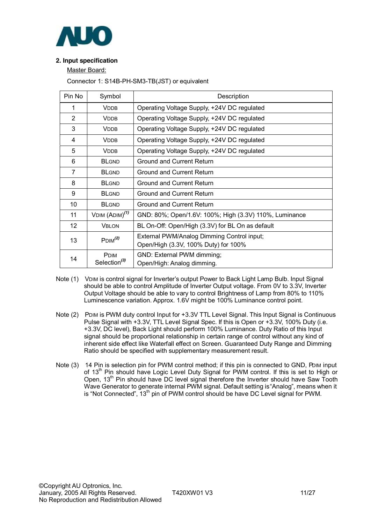

#### **2. Input specification**

Master Board:

Connector 1: S14B-PH-SM3-TB(JST) or equivalent

| Pin No | Symbol                                  | Description                                                                        |
|--------|-----------------------------------------|------------------------------------------------------------------------------------|
| 1      | <b>VDDB</b>                             | Operating Voltage Supply, +24V DC regulated                                        |
| 2      | <b>VDDB</b>                             | Operating Voltage Supply, +24V DC regulated                                        |
| 3      | <b>VDDB</b>                             | Operating Voltage Supply, +24V DC regulated                                        |
| 4      | <b>VDDB</b>                             | Operating Voltage Supply, +24V DC regulated                                        |
| 5      | <b>VDDB</b>                             | Operating Voltage Supply, +24V DC regulated                                        |
| 6      | <b>BLGND</b>                            | <b>Ground and Current Return</b>                                                   |
| 7      | <b>BLGND</b>                            | <b>Ground and Current Return</b>                                                   |
| 8      | <b>BLGND</b>                            | <b>Ground and Current Return</b>                                                   |
| 9      | <b>BLGND</b>                            | <b>Ground and Current Return</b>                                                   |
| 10     | <b>BLGND</b>                            | <b>Ground and Current Return</b>                                                   |
| 11     | VDIM $(ADM)^{(1)}$                      | GND: 80%; Open/1.6V: 100%; High (3.3V) 110%, Luminance                             |
| 12     | <b>VBLON</b>                            | BL On-Off: Open/High (3.3V) for BL On as default                                   |
| 13     | P <sub>DIM</sub> <sup>(2)</sup>         | External PWM/Analog Dimming Control input;<br>Open/High (3.3V, 100% Duty) for 100% |
| 14     | <b>PDIM</b><br>Selection <sup>(3)</sup> | GND: External PWM dimming;<br>Open/High: Analog dimming.                           |

- Note (1) VDIM is control signal for Inverter's output Power to Back Light Lamp Bulb. Input Signal should be able to control Amplitude of Inverter Output voltage. From 0V to 3.3V, Inverter Output Voltage should be able to vary to control Brightness of Lamp from 80% to 110% Luminescence variation. Approx. 1.6V might be 100% Luminance control point.
- Note (2) PDIM is PWM duty control Input for +3.3V TTL Level Signal. This Input Signal is Continuous Pulse Signal with +3.3V, TTL Level Signal Spec. If this is Open or +3.3V, 100% Duty (i.e. +3.3V, DC level), Back Light should perform 100% Luminance. Duty Ratio of this Input signal should be proportional relationship in certain range of control without any kind of inherent side effect like Waterfall effect on Screen. Guaranteed Duty Range and Dimming Ratio should be specified with supplementary measurement result.
- Note (3) 14 Pin is selection pin for PWM control method; if this pin is connected to GND, PDIM input of 13<sup>th</sup> Pin should have Logic Level Duty Signal for PWM control. If this is set to High or Open, 13<sup>th</sup> Pin should have DC level signal therefore the Inverter should have Saw Tooth Wave Generator to generate internal PWM signal. Default setting is "Analog", means when it is "Not Connected", 13<sup>th</sup> pin of PWM control should be have DC Level signal for PWM.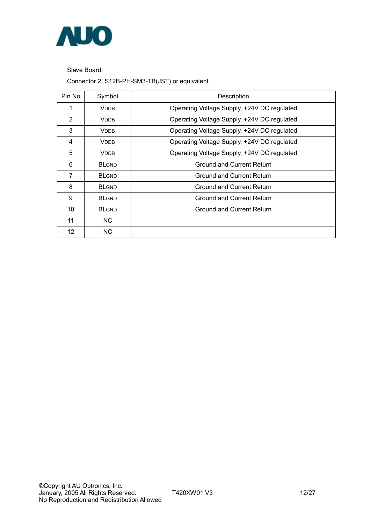

Slave Board:

Connector 2: S12B-PH-SM3-TB(JST) or equivalent

| Pin No            | Symbol       | Description                                 |
|-------------------|--------------|---------------------------------------------|
| 1                 | <b>VDDB</b>  | Operating Voltage Supply, +24V DC regulated |
| 2                 | <b>VDDB</b>  | Operating Voltage Supply, +24V DC regulated |
| 3                 | <b>VDDB</b>  | Operating Voltage Supply, +24V DC regulated |
| 4                 | <b>VDDB</b>  | Operating Voltage Supply, +24V DC regulated |
| 5                 | <b>VDDB</b>  | Operating Voltage Supply, +24V DC regulated |
| 6                 | <b>BLGND</b> | <b>Ground and Current Return</b>            |
| 7                 | <b>BLGND</b> | Ground and Current Return                   |
| 8                 | <b>BLGND</b> | Ground and Current Return                   |
| 9                 | <b>BLGND</b> | Ground and Current Return                   |
| 10                | <b>BLGND</b> | Ground and Current Return                   |
| 11                | NC.          |                                             |
| $12 \overline{ }$ | NC.          |                                             |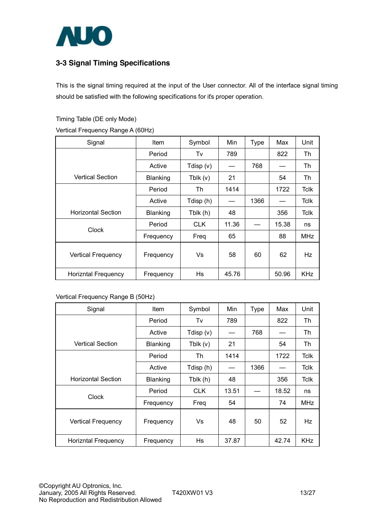

## **3-3 Signal Timing Specifications**

This is the signal timing required at the input of the User connector. All of the interface signal timing should be satisfied with the following specifications for its proper operation.

Timing Table (DE only Mode)

Vertical Frequency Range A (60Hz)

| Signal                     | <b>Item</b> | Symbol      | Min   | <b>Type</b> | Max   | Unit        |
|----------------------------|-------------|-------------|-------|-------------|-------|-------------|
|                            |             |             |       |             |       |             |
|                            | Period      | Tv          | 789   |             | 822   | Th          |
|                            | Active      | Tdisp $(v)$ |       | 768         |       | Th          |
| <b>Vertical Section</b>    | Blanking    | Tblk $(v)$  | 21    |             | 54    | Th          |
|                            | Period      | Th          | 1414  |             | 1722  | <b>Tclk</b> |
|                            | Active      | Tdisp (h)   |       | 1366        |       | <b>Tclk</b> |
| <b>Horizontal Section</b>  | Blanking    | Tblk (h)    | 48    |             | 356   | <b>Tclk</b> |
| Clock                      | Period      | <b>CLK</b>  | 11.36 |             | 15.38 | ns          |
|                            | Frequency   | Freq        | 65    |             | 88    | <b>MHz</b>  |
| <b>Vertical Frequency</b>  | Frequency   | Vs          | 58    | 60          | 62    | Hz          |
| <b>Horizntal Frequency</b> | Frequency   | Hs          | 45.76 |             | 50.96 | <b>KHz</b>  |

#### Vertical Frequency Range B (50Hz)

| Signal                     | <b>Item</b> | Symbol     | Min   | <b>Type</b> | Max   | Unit        |
|----------------------------|-------------|------------|-------|-------------|-------|-------------|
|                            | Period      | Tv         | 789   |             | 822   | Th          |
|                            | Active      | Tdisp (v)  |       | 768         |       | Th          |
| <b>Vertical Section</b>    | Blanking    | Tblk(v)    | 21    |             | 54    | Th          |
|                            | Period      | Th         | 1414  |             | 1722  | <b>Tclk</b> |
|                            | Active      | Tdisp (h)  |       | 1366        |       | <b>Tclk</b> |
| <b>Horizontal Section</b>  | Blanking    | Tblk (h)   | 48    |             | 356   | Tclk        |
| Clock                      | Period      | <b>CLK</b> | 13.51 |             | 18.52 | ns          |
|                            | Frequency   | Freq       | 54    |             | 74    | <b>MHz</b>  |
| <b>Vertical Frequency</b>  | Frequency   | Vs         | 48    | 50          | 52    | Hz          |
| <b>Horizntal Frequency</b> | Frequency   | Hs         | 37.87 |             | 42.74 | <b>KHz</b>  |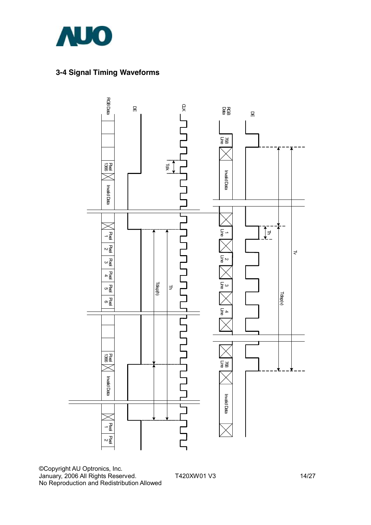

## **3-4 Signal Timing Waveforms**



©Copyright AU Optronics, Inc. January, 2006 All Rights Reserved. T420XW01 V3 14/27 No Reproduction and Redistribution Allowed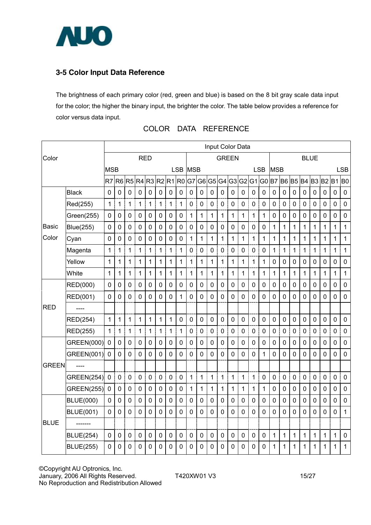

## **3-5 Color Input Data Reference**

The brightness of each primary color (red, green and blue) is based on the 8 bit gray scale data input for the color; the higher the binary input, the brighter the color. The table below provides a reference for color versus data input.

|                     |                   | Input Color Data |                |              |             |                |             |                |                |                |                |                |                |                |                |                |                |                |                |                |                |                |             |                |              |
|---------------------|-------------------|------------------|----------------|--------------|-------------|----------------|-------------|----------------|----------------|----------------|----------------|----------------|----------------|----------------|----------------|----------------|----------------|----------------|----------------|----------------|----------------|----------------|-------------|----------------|--------------|
| Color<br><b>RED</b> |                   |                  |                |              |             |                |             |                | <b>GREEN</b>   |                |                |                |                | <b>BLUE</b>    |                |                |                |                |                |                |                |                |             |                |              |
|                     |                   | <b>MSB</b>       |                |              |             |                |             |                | <b>LSB</b>     | <b>MSB</b>     |                |                |                |                |                |                | <b>LSB</b>     | <b>MSB</b>     |                |                |                |                |             |                | <b>LSB</b>   |
|                     |                   | R7               | R <sub>6</sub> | R5           | R4          | R3 R2          |             | R <sub>1</sub> | R <sub>0</sub> | G7             | G <sub>6</sub> | G <sub>5</sub> | G <sub>4</sub> |                | G3 G2          | G <sub>1</sub> | G <sub>0</sub> | B7             | <b>B6</b>      | B <sub>5</sub> | B <sub>4</sub> | B <sub>3</sub> | <b>B2</b>   | <b>B1</b>      | <b>BO</b>    |
|                     | <b>Black</b>      | $\pmb{0}$        | 0              | $\mathbf 0$  | $\pmb{0}$   | $\mathbf 0$    | 0           | $\mathbf 0$    | $\pmb{0}$      | $\mathbf 0$    | $\mathbf 0$    | $\mathbf 0$    | $\mathbf 0$    | 0              | $\mathbf 0$    | $\mathbf 0$    | $\pmb{0}$      | $\mathbf 0$    | $\mathbf 0$    | $\mathbf 0$    | $\mathbf 0$    | 0              | $\mathbf 0$ | $\mathbf 0$    | $\pmb{0}$    |
|                     | Red(255)          | $\mathbf{1}$     | 1              | 1            | 1           | $\mathbf{1}$   | 1           | $\mathbf{1}$   | 1              | $\mathbf 0$    | $\overline{0}$ | $\overline{0}$ | $\mathbf 0$    | $\overline{0}$ | $\mathbf 0$    | $\overline{0}$ | 0              | $\mathbf 0$    | $\overline{0}$ | $\mathbf 0$    | $\mathbf 0$    | $\mathbf 0$    | $\mathbf 0$ | $\mathbf 0$    | $\mathbf 0$  |
|                     | Green(255)        | $\pmb{0}$        | 0              | $\mathbf 0$  | 0           | $\mathbf 0$    | 0           | 0              | 0              | 1              | 1              | 1              | 1              | 1              | 1              | 1              | 1              | $\mathbf 0$    | $\mathbf 0$    | $\mathbf 0$    | 0              | 0              | $\mathbf 0$ | $\mathbf 0$    | $\pmb{0}$    |
| Basic               | <b>Blue(255)</b>  | $\mathbf 0$      | 0              | $\mathbf 0$  | 0           | $\mathbf 0$    | 0           | 0              | 0              | $\mathbf 0$    | 0              | $\mathbf 0$    | 0              | $\overline{0}$ | $\mathbf 0$    | $\mathbf 0$    | 0              | 1              | 1              | $\mathbf{1}$   | $\mathbf 1$    | 1              | 1           | 1              | $\mathbf{1}$ |
| Color               | Cyan              | $\mathbf 0$      | 0              | $\mathbf 0$  | $\mathbf 0$ | 0              | 0           | $\mathbf 0$    | 0              | 1              | 1              | 1              | 1              | 1              | $\mathbf 1$    | 1              | 1              | 1              | 1              | 1              | 1              | 1              | 1           | 1              | $\mathbf 1$  |
|                     | Magenta           | 1                | 1              | 1            | 1           | $\mathbf{1}$   | 1           | $\mathbf 1$    | 1              | 0              | $\mathbf 0$    | $\mathbf 0$    | 0              | 0              | 0              | $\overline{0}$ | 0              | $\mathbf 1$    | 1              | 1              | 1              | 1              | 1           | 1              | $\mathbf{1}$ |
|                     | Yellow            | $\mathbf{1}$     | 1              | 1            | 1           | 1              | 1           | $\mathbf{1}$   | 1              | 1              | 1              | 1              | 1              | 1              | $\mathbf 1$    | 1              | 1              | $\mathbf 0$    | $\mathbf 0$    | $\mathbf 0$    | $\mathbf 0$    | 0              | $\mathbf 0$ | $\mathbf 0$    | 0            |
|                     | White             | 1                | 1              | 1            | 1           | 1              | 1           | $\mathbf 1$    | 1              | 1              | 1              | 1              | 1              | 1              | 1              | 1              | 1              | 1              | 1              | 1              | $\mathbf{1}$   | 1              | 1           | 1              | 1            |
|                     | <b>RED(000)</b>   | 0                | 0              | $\mathbf 0$  | 0           | 0              | 0           | $\mathbf 0$    | 0              | $\mathbf 0$    | $\mathbf 0$    | $\mathbf 0$    | $\mathbf 0$    | 0              | $\mathbf{0}$   | $\mathbf 0$    | 0              | $\mathbf 0$    | $\mathbf 0$    | 0              | 0              | 0              | $\mathbf 0$ | 0              | $\mathbf 0$  |
|                     | <b>RED(001)</b>   | $\overline{0}$   | $\overline{0}$ | 0            | 0           | $\overline{0}$ | 0           | $\overline{0}$ | 1              | $\overline{0}$ | $\Omega$       | $\mathbf 0$    | $\mathbf 0$    | $\overline{0}$ | $\overline{0}$ | $\overline{0}$ | 0              | $\overline{0}$ | $\overline{0}$ | $\overline{0}$ | $\overline{0}$ | 0              | $\mathbf 0$ | $\mathbf 0$    | $\mathbf 0$  |
| <b>RED</b>          |                   |                  |                |              |             |                |             |                |                |                |                |                |                |                |                |                |                |                |                |                |                |                |             |                |              |
|                     | <b>RED(254)</b>   | $\mathbf 1$      | 1              | $\mathbf{1}$ | $\mathbf 1$ | $\mathbf{1}$   | 1           | 1              | 0              | $\overline{0}$ | $\mathbf 0$    | $\overline{0}$ | $\mathbf 0$    | $\overline{0}$ | $\mathbf 0$    | $\mathbf 0$    | $\mathbf 0$    | $\overline{0}$ | $\overline{0}$ | $\overline{0}$ | $\mathbf 0$    | $\overline{0}$ | $\mathbf 0$ | $\overline{0}$ | $\mathbf 0$  |
|                     | <b>RED(255)</b>   | $\mathbf{1}$     | 1              | 1            | 1           | 1              | 1           | $\mathbf{1}$   | 1              | 0              | $\mathbf 0$    | $\pmb{0}$      | $\mathbf 0$    | 0              | $\mathbf 0$    | $\mathbf 0$    | 0              | $\mathbf 0$    | $\mathbf 0$    | $\mathbf 0$    | $\mathbf 0$    | 0              | $\pmb{0}$   | $\mathbf 0$    | $\pmb{0}$    |
|                     | GREEN(000)        | $\mathbf 0$      | 0              | $\mathbf 0$  | 0           | $\mathbf 0$    | 0           | $\pmb{0}$      | 0              | 0              | $\mathbf 0$    | 0              | $\mathbf 0$    | $\pmb{0}$      | $\mathbf 0$    | $\overline{0}$ | 0              | 0              | $\mathbf 0$    | 0              | $\mathbf 0$    | 0              | $\mathbf 0$ | 0              | $\mathbf 0$  |
|                     | GREEN(001)        | $\mathbf 0$      | 0              | $\mathbf 0$  | 0           | $\overline{0}$ | 0           | $\mathbf 0$    | 0              | $\mathbf 0$    | $\mathbf 0$    | $\mathbf 0$    | 0              | 0              | 0              | $\mathbf 0$    | 1              | $\mathbf 0$    | $\overline{0}$ | 0              | $\mathbf 0$    | 0              | $\mathbf 0$ | $\mathbf 0$    | $\mathbf 0$  |
| <b>GREEN</b>        |                   |                  |                |              |             |                |             |                |                |                |                |                |                |                |                |                |                |                |                |                |                |                |             |                |              |
|                     | <b>GREEN(254)</b> | $\mathbf 0$      | $\mathbf 0$    | $\mathbf 0$  | $\mathbf 0$ | $\mathbf 0$    | $\mathbf 0$ | $\mathbf 0$    | $\mathbf 0$    | 1              | $\mathbf{1}$   | $\mathbf{1}$   | 1              | 1              | $\mathbf 1$    | 1              | 0              | $\mathbf 0$    | $\mathbf 0$    | $\mathbf 0$    | $\mathbf 0$    | $\mathbf 0$    | $\mathbf 0$ | $\mathbf 0$    | $\mathbf 0$  |
|                     | <b>GREEN(255)</b> | $\mathbf 0$      | $\pmb{0}$      | $\pmb{0}$    | 0           | $\mathbf 0$    | 0           | $\mathbf 0$    | 0              | 1              | 1              | 1              | 1              | 1              | 1              | 1              | 1              | $\mathbf 0$    | $\mathbf 0$    | $\mathsf 0$    | 0              | 0              | $\pmb{0}$   | $\mathbf 0$    | $\pmb{0}$    |
|                     | <b>BLUE(000)</b>  | $\mathbf 0$      | 0              | $\mathbf 0$  | 0           | 0              | 0           | $\mathbf 0$    | 0              | $\mathbf 0$    | 0              | $\mathbf 0$    | 0              | 0              | $\mathbf{0}$   | $\mathbf 0$    | 0              | $\mathbf 0$    | $\mathbf 0$    | 0              | $\mathbf 0$    | 0              | $\mathbf 0$ | 0              | $\mathbf 0$  |
|                     | <b>BLUE(001)</b>  | $\overline{0}$   | $\mathbf{0}$   | $\mathbf 0$  | 0           | 0              | 0           | $\mathbf 0$    | 0              | $\mathbf 0$    | $\mathbf 0$    | $\mathbf 0$    | $\mathbf 0$    | 0              | $\mathbf 0$    | $\mathbf 0$    | 0              | $\Omega$       | $\mathbf 0$    | 0              | $\Omega$       | 0              | $\mathbf 0$ | 0              | 1            |
| <b>BLUE</b>         |                   |                  |                |              |             |                |             |                |                |                |                |                |                |                |                |                |                |                |                |                |                |                |             |                |              |
|                     | <b>BLUE(254)</b>  | $\mathbf 0$      | $\mathbf 0$    | $\mathbf 0$  | 0           | $\mathbf 0$    | $\mathbf 0$ | $\mathbf 0$    | $\mathbf 0$    | $\mathbf 0$    | $\mathbf 0$    | $\mathbf 0$    | $\mathbf 0$    | $\mathbf 0$    | $\mathbf 0$    | $\mathbf 0$    | $\mathbf 0$    | 1              | $\mathbf 1$    | 1              | 1              | 1              | 1           | $\mathbf{1}$   | $\mathbf 0$  |
|                     | <b>BLUE(255)</b>  | 0                | 0              | 0            | 0           | $\mathbf 0$    | 0           | 0              | 0              | $\pmb{0}$      | 0              | 0              | 0              | 0              | 0              | 0              | 0              | 1              | 1              | 1              | 1              | 1              | 1           | 1              | 1            |

|  |  | COLOR DATA REFERENCE |
|--|--|----------------------|
|--|--|----------------------|

©Copyright AU Optronics, Inc. January, 2006 All Rights Reserved. T420XW01 V3 15/27 No Reproduction and Redistribution Allowed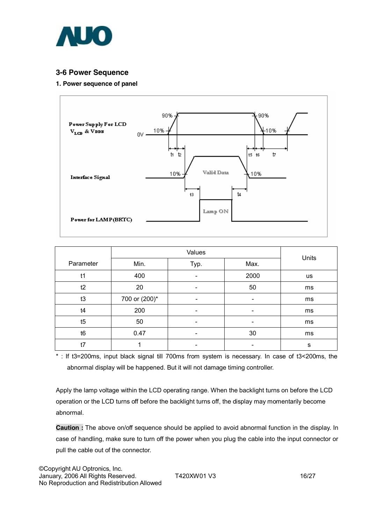

### **3-6 Power Sequence**

#### **1. Power sequence of panel**



|           |               | Units                    |                          |           |
|-----------|---------------|--------------------------|--------------------------|-----------|
| Parameter | Min.          | Typ.                     | Max.                     |           |
| t1        | 400           |                          | 2000                     | <b>us</b> |
| t2        | 20            | $\overline{\phantom{a}}$ | 50                       | ms        |
| t3        | 700 or (200)* | $\overline{\phantom{0}}$ | $\overline{\phantom{0}}$ | ms        |
| t4        | 200           | $\overline{\phantom{0}}$ | $\overline{\phantom{a}}$ | ms        |
| t5        | 50            |                          |                          | ms        |
| t6        | 0.47          |                          | 30                       | ms        |
| t7        |               |                          | ۰                        | s         |

\* : If t3=200ms, input black signal till 700ms from system is necessary. In case of t3<200ms, the abnormal display will be happened. But it will not damage timing controller.

Apply the lamp voltage within the LCD operating range. When the backlight turns on before the LCD operation or the LCD turns off before the backlight turns off, the display may momentarily become abnormal.

**Caution :** The above on/off sequence should be applied to avoid abnormal function in the display. In case of handling, make sure to turn off the power when you plug the cable into the input connector or pull the cable out of the connector.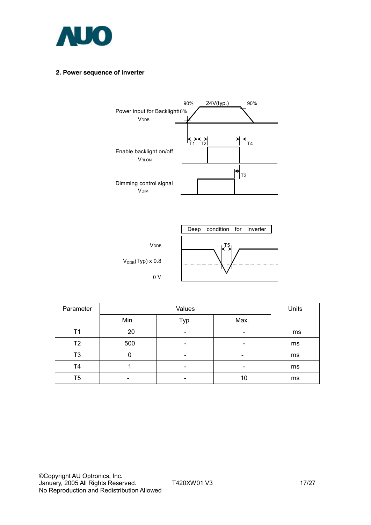

#### **2. Power sequence of inverter**





| Parameter      |      | Units                    |                          |    |
|----------------|------|--------------------------|--------------------------|----|
|                | Min. | Typ.                     | Max.                     |    |
| Τ1             | 20   | $\overline{\phantom{0}}$ | $\,$                     | ms |
| T <sub>2</sub> | 500  |                          |                          | ms |
| T3             | 0    |                          | $\overline{\phantom{0}}$ | ms |
| T4             |      | $\overline{\phantom{0}}$ | $\overline{\phantom{0}}$ | ms |
| T5             | -    | $\overline{\phantom{0}}$ | 10                       | ms |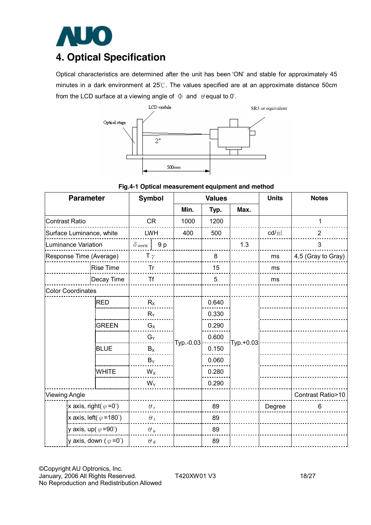

## **4. Optical Specification**

Optical characteristics are determined after the unit has been 'ON' and stable for approximately 45 minutes in a dark environment at 25℃. The values specified are at an approximate distance 50cm from the LCD surface at a viewing angle of  $\Phi$  and  $\theta$  equal to 0°.



**Fig.4-1 Optical measurement equipment and method** 

| <b>Parameter</b>                       | <b>Symbol</b>                          |                  |    | <b>Values</b> |       | <b>Units</b> | <b>Notes</b>    |                    |  |
|----------------------------------------|----------------------------------------|------------------|----|---------------|-------|--------------|-----------------|--------------------|--|
|                                        |                                        |                  |    | Min.          | Typ.  | Max.         |                 |                    |  |
| <b>Contrast Ratio</b>                  |                                        | <b>CR</b>        |    | 1000          | 1200  |              |                 | 1                  |  |
| Surface Luminance, white               |                                        | <b>LWH</b>       |    | 400           | 500   |              | $\text{cd/m}^2$ | $\overline{2}$     |  |
| Luminance Variation                    |                                        | $\delta$ white   | 9p |               |       | 1.3          |                 | 3                  |  |
| Response Time (Average)                |                                        | T $\gamma$       |    |               | 8     |              | ms              | 4,5 (Gray to Gray) |  |
|                                        | <b>Rise Time</b>                       | Tr               |    |               | 15    |              | ms              |                    |  |
|                                        | Decay Time                             | <b>Tf</b>        |    |               | 5     |              | ms              |                    |  |
| <b>Color Coordinates</b>               |                                        |                  |    |               |       |              |                 |                    |  |
|                                        | <b>RED</b>                             | $R_X$            |    |               | 0.640 | Typ.+0.03    |                 |                    |  |
|                                        |                                        | $R_Y$            |    |               | 0.330 |              |                 |                    |  |
|                                        | <b>GREEN</b>                           | $G_X$            |    |               | 0.290 |              |                 |                    |  |
|                                        |                                        | $G_Y$            |    |               | 0.600 |              |                 |                    |  |
|                                        | <b>BLUE</b>                            | $B_X$            |    | Typ.-0.03     | 0.150 |              |                 |                    |  |
|                                        |                                        | $B_Y$            |    |               | 0.060 |              |                 |                    |  |
|                                        | <b>WHITE</b>                           | $W_X$            |    |               | 0.280 |              |                 |                    |  |
|                                        |                                        | $W_Y$            |    |               | 0.290 |              |                 |                    |  |
| <b>Viewing Angle</b>                   |                                        |                  |    |               |       |              |                 | Contrast Ratio>10  |  |
| x axis, right( $\varphi = 0^{\circ}$ ) |                                        | $\theta_{\rm r}$ |    |               | 89    |              | Degree          | 6                  |  |
|                                        | x axis, left( $\varphi$ =180°)         | $\theta_1$       |    |               | 89    |              |                 |                    |  |
|                                        | y axis, up( $\varphi$ =90°)            | $\theta$ u       |    |               | 89    |              |                 |                    |  |
|                                        | y axis, down ( $\varphi = 0^{\circ}$ ) | $\theta$ d       |    |               | 89    |              |                 |                    |  |

©Copyright AU Optronics, Inc. January, 2006 All Rights Reserved. T420XW01 V3 18/27 No Reproduction and Redistribution Allowed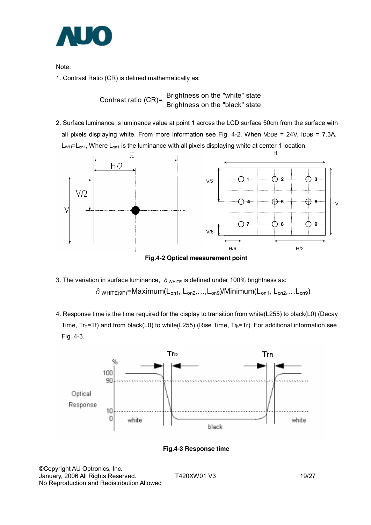

Note:

1. Contrast Ratio (CR) is defined mathematically as:

Contrast ratio (CR)=  $\frac{\text{Brighness on the "white" state}}{\text{Brightness on the "black" state}}$ 

2. Surface luminance is luminance value at point 1 across the LCD surface 50cm from the surface with all pixels displaying white. From more information see Fig. 4-2. When VDDB = 24V, IDDB = 7.3A.  $L_{WH}$ = $L_{on1}$ , Where  $L_{on1}$  is the luminance with all pixels displaying white at center 1 location.



**Fig.4-2 Optical measurement point** 

- 3. The variation in surface luminance,  $\delta$ <sub>WHITE</sub> is defined under 100% brightness as:  $\delta$  wHITE(9P)=Maximum(L<sub>on1</sub>, L<sub>on2</sub>,...,L<sub>on9</sub>)/Minimum(L<sub>on1</sub>, L<sub>on2</sub>,...L<sub>on9</sub>)
- 4. Response time is the time required for the display to transition from white(L255) to black(L0) (Decay Time,  $Tr_D=Tr$ ) and from black(L0) to white(L255) (Rise Time,  $Tr_R=Tr$ ). For additional information see Fig. 4-3.



**Fig.4-3 Response time** 

©Copyright AU Optronics, Inc. January, 2006 All Rights Reserved. T420XW01 V3 19/27 No Reproduction and Redistribution Allowed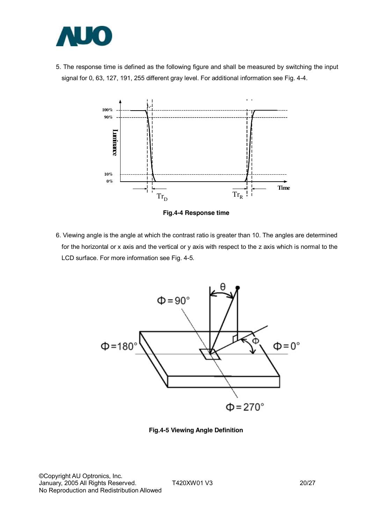

5. The response time is defined as the following figure and shall be measured by switching the input signal for 0, 63, 127, 191, 255 different gray level. For additional information see Fig. 4-4.



**Fig.4-4 Response time** 

6. Viewing angle is the angle at which the contrast ratio is greater than 10. The angles are determined for the horizontal or x axis and the vertical or y axis with respect to the z axis which is normal to the LCD surface. For more information see Fig. 4-5.



**Fig.4-5 Viewing Angle Definition**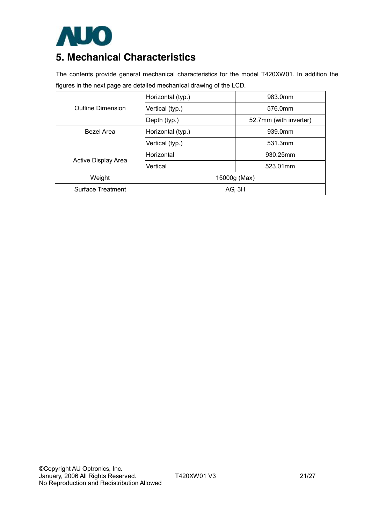

## **5. Mechanical Characteristics**

The contents provide general mechanical characteristics for the model T420XW01. In addition the figures in the next page are detailed mechanical drawing of the LCD.

|                          | Horizontal (typ.) | 983.0mm                |  |  |  |  |
|--------------------------|-------------------|------------------------|--|--|--|--|
| <b>Outline Dimension</b> | Vertical (typ.)   | 576.0mm                |  |  |  |  |
|                          | Depth (typ.)      | 52.7mm (with inverter) |  |  |  |  |
| <b>Bezel Area</b>        | Horizontal (typ.) | 939.0mm                |  |  |  |  |
|                          | Vertical (typ.)   | 531.3mm                |  |  |  |  |
| Active Display Area      | <b>Horizontal</b> | 930.25mm               |  |  |  |  |
|                          | Vertical          | 523.01mm               |  |  |  |  |
| Weight                   | 15000g (Max)      |                        |  |  |  |  |
| Surface Treatment        | AG, 3H            |                        |  |  |  |  |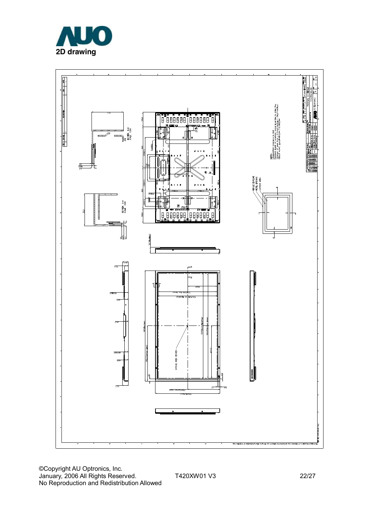



©Copyright AU Optronics, Inc. January, 2006 All Rights Reserved. T420XW01 V3 22/27 No Reproduction and Redistribution Allowed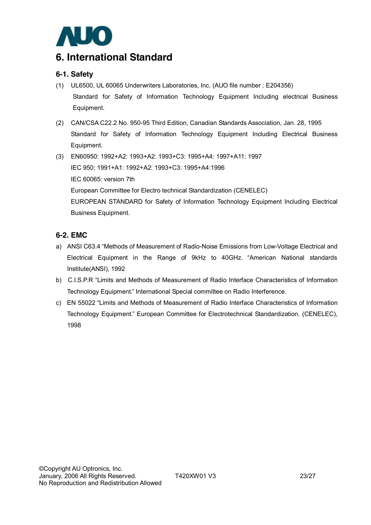

## **6. International Standard**

### **6-1. Safety**

- (1) UL6500, UL 60065 Underwriters Laboratories, Inc. (AUO file number : E204356) Standard for Safety of Information Technology Equipment Including electrical Business Equipment.
- (2) CAN/CSA C22.2 No. 950-95 Third Edition, Canadian Standards Association, Jan. 28, 1995 Standard for Safety of Information Technology Equipment Including Electrical Business Equipment.
- (3) EN60950: 1992+A2: 1993+A2: 1993+C3: 1995+A4: 1997+A11: 1997 IEC 950: 1991+A1: 1992+A2: 1993+C3: 1995+A4:1996 IEC 60065: version 7th European Committee for Electro technical Standardization (CENELEC) EUROPEAN STANDARD for Safety of Information Technology Equipment Including Electrical Business Equipment.

### **6-2. EMC**

- a) ANSI C63.4 "Methods of Measurement of Radio-Noise Emissions from Low-Voltage Electrical and Electrical Equipment in the Range of 9kHz to 40GHz. "American National standards Institute(ANSI), 1992
- b) C.I.S.P.R "Limits and Methods of Measurement of Radio Interface Characteristics of Information Technology Equipment." International Special committee on Radio Interference.
- c) EN 55022 "Limits and Methods of Measurement of Radio Interface Characteristics of Information Technology Equipment." European Committee for Electrotechnical Standardization. (CENELEC), 1998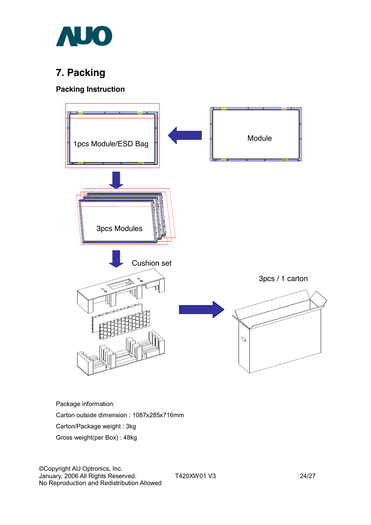

## **7. Packing**

### **Packing Instruction**



Package information:

Carton outside dimension : 1087x285x716mm

Carton/Package weight : 3kg

Gross weight(per Box) : 48kg

©Copyright AU Optronics, Inc. January, 2006 All Rights Reserved. T420XW01 V3 24/27 No Reproduction and Redistribution Allowed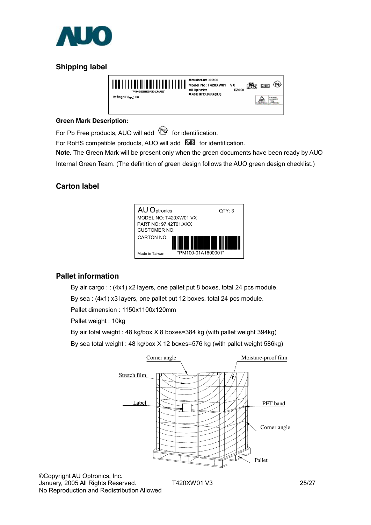

## **Shipping label**

| TENNADEZER DOOR FEDERATUUR. | Manufactured XX2OX<br>Model No: T420XW01<br>All Ophanics<br><b>MAD E IN TAUMANOMA</b> | <b>VX</b><br>ໝ≪ | Roll@ | (P4) |
|-----------------------------|---------------------------------------------------------------------------------------|-----------------|-------|------|
| Rating: 8V-18A              |                                                                                       |                 |       |      |

#### **Green Mark Description:**

For Pb Free products, AUO will add  $\bigcirc$  for identification.

For RoHS compatible products, AUO will add  $\overline{\text{bulk}}$  for identification.

**Note.** The Green Mark will be present only when the green documents have been ready by AUO Internal Green Team. (The definition of green design follows the AUO green design checklist.)

### **Carton label**



### **Pallet information**

By air cargo : : (4x1) x2 layers, one pallet put 8 boxes, total 24 pcs module.

By sea : (4x1) x3 layers, one pallet put 12 boxes, total 24 pcs module.

Pallet dimension : 1150x1100x120mm

Pallet weight : 10kg

By air total weight : 48 kg/box X 8 boxes=384 kg (with pallet weight 394kg)

By sea total weight : 48 kg/box X 12 boxes=576 kg (with pallet weight 586kg)



©Copyright AU Optronics, Inc. No Reproduction and Redistribution Allowed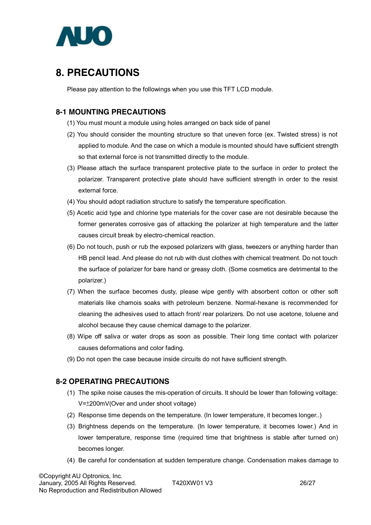

## **8. PRECAUTIONS**

Please pay attention to the followings when you use this TFT LCD module.

### **8-1 MOUNTING PRECAUTIONS**

- (1) You must mount a module using holes arranged on back side of panel
- (2) You should consider the mounting structure so that uneven force (ex. Twisted stress) is not applied to module. And the case on which a module is mounted should have sufficient strength so that external force is not transmitted directly to the module.
- (3) Please attach the surface transparent protective plate to the surface in order to protect the polarizer. Transparent protective plate should have sufficient strength in order to the resist external force.
- (4) You should adopt radiation structure to satisfy the temperature specification.
- (5) Acetic acid type and chlorine type materials for the cover case are not desirable because the former generates corrosive gas of attacking the polarizer at high temperature and the latter causes circuit break by electro-chemical reaction.
- (6) Do not touch, push or rub the exposed polarizers with glass, tweezers or anything harder than HB pencil lead. And please do not rub with dust clothes with chemical treatment. Do not touch the surface of polarizer for bare hand or greasy cloth. (Some cosmetics are detrimental to the polarizer.)
- (7) When the surface becomes dusty, please wipe gently with absorbent cotton or other soft materials like chamois soaks with petroleum benzene. Normal-hexane is recommended for cleaning the adhesives used to attach front/ rear polarizers. Do not use acetone, toluene and alcohol because they cause chemical damage to the polarizer.
- (8) Wipe off saliva or water drops as soon as possible. Their long time contact with polarizer causes deformations and color fading.
- (9) Do not open the case because inside circuits do not have sufficient strength.

#### **8-2 OPERATING PRECAUTIONS**

- (1) The spike noise causes the mis-operation of circuits. It should be lower than following voltage: V=±200mV(Over and under shoot voltage)
- (2) Response time depends on the temperature. (In lower temperature, it becomes longer..)
- (3) Brightness depends on the temperature. (In lower temperature, it becomes lower.) And in lower temperature, response time (required time that brightness is stable after turned on) becomes longer.
- (4) Be careful for condensation at sudden temperature change. Condensation makes damage to